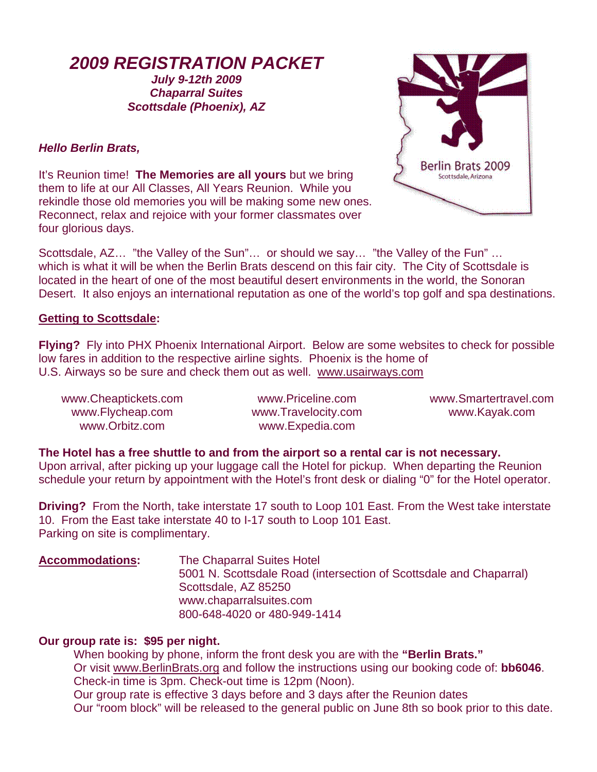# *2009 REGISTRATION PACKET*

## *July 9-12th 2009 Chaparral Suites Scottsdale (Phoenix), AZ*

## *Hello Berlin Brats,*

It's Reunion time! **The Memories are all yours** but we bring them to life at our All Classes, All Years Reunion. While you rekindle those old memories you will be making some new ones. Reconnect, relax and rejoice with your former classmates over four glorious days.



Scottsdale, AZ… "the Valley of the Sun"… or should we say… "the Valley of the Fun" … which is what it will be when the Berlin Brats descend on this fair city. The City of Scottsdale is located in the heart of one of the most beautiful desert environments in the world, the Sonoran Desert. It also enjoys an international reputation as one of the world's top golf and spa destinations.

## **Getting to Scottsdale:**

**Flying?** Fly into PHX Phoenix International Airport. Below are some websites to check for possible low fares in addition to the respective airline sights. Phoenix is the home of U.S. Airways so be sure and check them out as well. [www.usairways.com](http://www.usairways.com/)

[www.Cheaptickets.com](http://www.cheaptickets.com/)  [www.Flycheap.com](http://www.flycheap.com/)  [www.Orbitz.com](http://www.orbitz.com/) 

[www.Priceline.com](http://www.priceline.com/)  [www.Travelocity.com](http://www.travelocity.com/)  [www.Expedia.com](http://www.expedia.com/) 

[www.Smartertravel.com](http://www.smartertravel.com/)  www.Kayak.com

**The Hotel has a free shuttle to and from the airport so a rental car is not necessary.** 

Upon arrival, after picking up your luggage call the Hotel for pickup. When departing the Reunion schedule your return by appointment with the Hotel's front desk or dialing "0" for the Hotel operator.

**Driving?** From the North, take interstate 17 south to Loop 101 East. From the West take interstate 10. From the East take interstate 40 to I-17 south to Loop 101 East. Parking on site is complimentary.

**Accommodations:** The Chaparral Suites Hotel 5001 N. Scottsdale Road (intersection of Scottsdale and Chaparral) Scottsdale, AZ 85250 www.chaparralsuites.com 800-648-4020 or 480-949-1414

## **Our group rate is: \$95 per night.**

When booking by phone, inform the front desk you are with the **"Berlin Brats."**  Or visit [www.BerlinBrats.org](http://www.berlinbrats.org/) and follow the instructions using our booking code of: **bb6046**. Check-in time is 3pm. Check-out time is 12pm (Noon). Our group rate is effective 3 days before and 3 days after the Reunion dates Our "room block" will be released to the general public on June 8th so book prior to this date.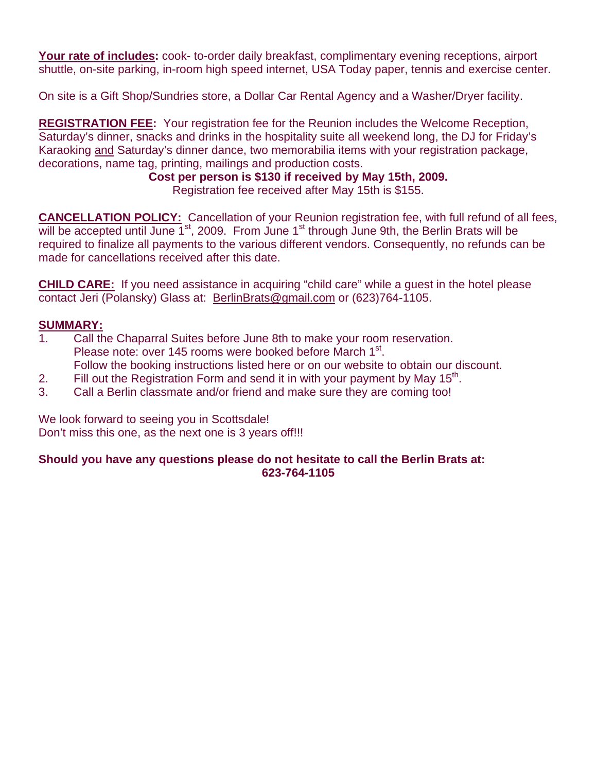Your rate of includes: cook- to-order daily breakfast, complimentary evening receptions, airport shuttle, on-site parking, in-room high speed internet, USA Today paper, tennis and exercise center.

On site is a Gift Shop/Sundries store, a Dollar Car Rental Agency and a Washer/Dryer facility.

**REGISTRATION FEE:** Your registration fee for the Reunion includes the Welcome Reception, Saturday's dinner, snacks and drinks in the hospitality suite all weekend long, the DJ for Friday's Karaoking and Saturday's dinner dance, two memorabilia items with your registration package, decorations, name tag, printing, mailings and production costs.

> **Cost per person is \$130 if received by May 15th, 2009.**  Registration fee received after May 15th is \$155.

**CANCELLATION POLICY:** Cancellation of your Reunion registration fee, with full refund of all fees, will be accepted until June  $1<sup>st</sup>$ , 2009. From June  $1<sup>st</sup>$  through June 9th, the Berlin Brats will be required to finalize all payments to the various different vendors. Consequently, no refunds can be made for cancellations received after this date.

**CHILD CARE:** If you need assistance in acquiring "child care" while a guest in the hotel please contact Jeri (Polansky) Glass at: [BerlinBrats@gmail.com](mailto:BerlinBrats@gmail.com) or (623)764-1105.

## **SUMMARY:**

- 1. Call the Chaparral Suites before June 8th to make your room reservation. Please note: over 145 rooms were booked before March 1<sup>st</sup>. Follow the booking instructions listed here or on our website to obtain our discount.
- 
- 2. Fill out the Registration Form and send it in with your payment by May  $15<sup>th</sup>$ .
- 3. Call a Berlin classmate and/or friend and make sure they are coming too!

We look forward to seeing you in Scottsdale! Don't miss this one, as the next one is 3 years off!!!

#### **Should you have any questions please do not hesitate to call the Berlin Brats at: 623-764-1105**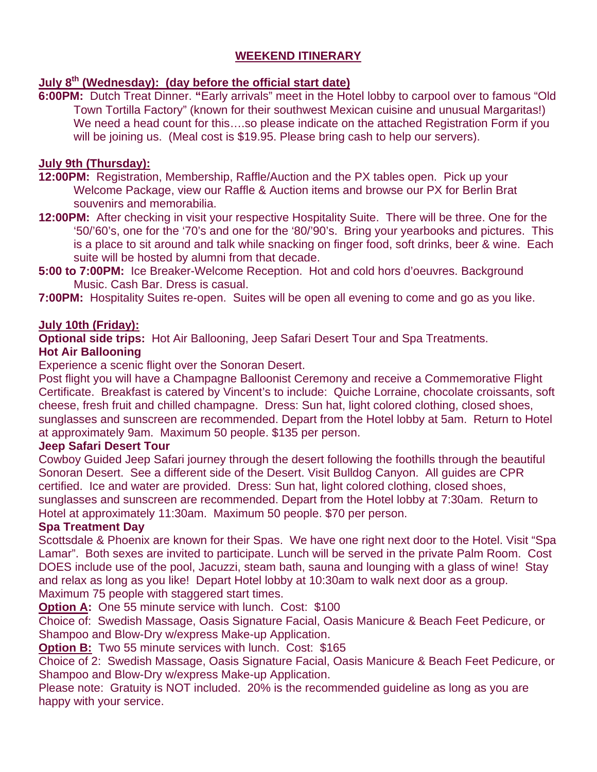# **WEEKEND ITINERARY**

## **July 8th (Wednesday): (day before the official start date)**

**6:00PM:** Dutch Treat Dinner. **"**Early arrivals" meet in the Hotel lobby to carpool over to famous "Old Town Tortilla Factory" (known for their southwest Mexican cuisine and unusual Margaritas!) We need a head count for this….so please indicate on the attached Registration Form if you will be joining us. (Meal cost is \$19.95. Please bring cash to help our servers).

## **July 9th (Thursday):**

**12:00PM:** Registration, Membership, Raffle/Auction and the PX tables open. Pick up your Welcome Package, view our Raffle & Auction items and browse our PX for Berlin Brat souvenirs and memorabilia.

**12:00PM:** After checking in visit your respective Hospitality Suite. There will be three. One for the '50/'60's, one for the '70's and one for the '80/'90's. Bring your yearbooks and pictures. This is a place to sit around and talk while snacking on finger food, soft drinks, beer & wine. Each suite will be hosted by alumni from that decade.

**5:00 to 7:00PM:** Ice Breaker-Welcome Reception. Hot and cold hors d'oeuvres. Background Music. Cash Bar. Dress is casual.

**7:00PM:** Hospitality Suites re-open. Suites will be open all evening to come and go as you like.

## **July 10th (Friday):**

**Optional side trips:** Hot Air Ballooning, Jeep Safari Desert Tour and Spa Treatments.

## **Hot Air Ballooning**

Experience a scenic flight over the Sonoran Desert.

Post flight you will have a Champagne Balloonist Ceremony and receive a Commemorative Flight Certificate. Breakfast is catered by Vincent's to include: Quiche Lorraine, chocolate croissants, soft cheese, fresh fruit and chilled champagne. Dress: Sun hat, light colored clothing, closed shoes, sunglasses and sunscreen are recommended. Depart from the Hotel lobby at 5am. Return to Hotel at approximately 9am. Maximum 50 people. \$135 per person.

## **Jeep Safari Desert Tour**

Cowboy Guided Jeep Safari journey through the desert following the foothills through the beautiful Sonoran Desert. See a different side of the Desert. Visit Bulldog Canyon. All guides are CPR certified. Ice and water are provided. Dress: Sun hat, light colored clothing, closed shoes, sunglasses and sunscreen are recommended. Depart from the Hotel lobby at 7:30am. Return to Hotel at approximately 11:30am. Maximum 50 people. \$70 per person.

## **Spa Treatment Day**

Scottsdale & Phoenix are known for their Spas. We have one right next door to the Hotel. Visit "Spa Lamar". Both sexes are invited to participate. Lunch will be served in the private Palm Room. Cost DOES include use of the pool, Jacuzzi, steam bath, sauna and lounging with a glass of wine! Stay and relax as long as you like! Depart Hotel lobby at 10:30am to walk next door as a group. Maximum 75 people with staggered start times.

**Option A:** One 55 minute service with lunch. Cost: \$100

Choice of: Swedish Massage, Oasis Signature Facial, Oasis Manicure & Beach Feet Pedicure, or Shampoo and Blow-Dry w/express Make-up Application.

**Option B:** Two 55 minute services with lunch. Cost: \$165

Choice of 2: Swedish Massage, Oasis Signature Facial, Oasis Manicure & Beach Feet Pedicure, or Shampoo and Blow-Dry w/express Make-up Application.

Please note: Gratuity is NOT included. 20% is the recommended guideline as long as you are happy with your service.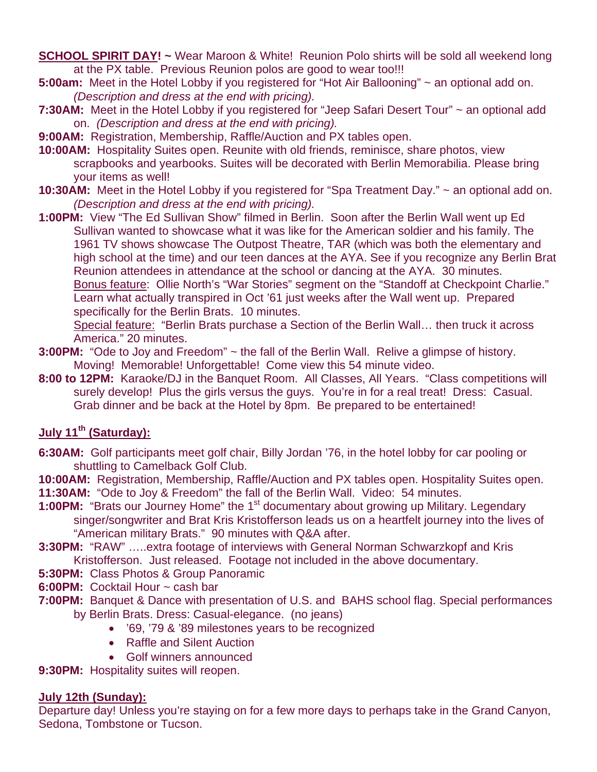- **SCHOOL SPIRIT DAY!** ~ Wear Maroon & White! Reunion Polo shirts will be sold all weekend long at the PX table. Previous Reunion polos are good to wear too!!!
- **5:00am:** Meet in the Hotel Lobby if you registered for "Hot Air Ballooning" ~ an optional add on. *(Description and dress at the end with pricing).*
- 7:30AM: Meet in the Hotel Lobby if you registered for "Jeep Safari Desert Tour" ~ an optional add on. *(Description and dress at the end with pricing).*
- **9:00AM:** Registration, Membership, Raffle/Auction and PX tables open.
- **10:00AM:** Hospitality Suites open. Reunite with old friends, reminisce, share photos, view scrapbooks and yearbooks. Suites will be decorated with Berlin Memorabilia. Please bring your items as well!
- **10:30AM:** Meet in the Hotel Lobby if you registered for "Spa Treatment Day." ~ an optional add on. *(Description and dress at the end with pricing).*
- **1:00PM:** View "The Ed Sullivan Show" filmed in Berlin. Soon after the Berlin Wall went up Ed Sullivan wanted to showcase what it was like for the American soldier and his family. The 1961 TV shows showcase The Outpost Theatre, TAR (which was both the elementary and high school at the time) and our teen dances at the AYA. See if you recognize any Berlin Brat Reunion attendees in attendance at the school or dancing at the AYA. 30 minutes. Bonus feature: Ollie North's "War Stories" segment on the "Standoff at Checkpoint Charlie." Learn what actually transpired in Oct '61 just weeks after the Wall went up. Prepared specifically for the Berlin Brats. 10 minutes.

Special feature: "Berlin Brats purchase a Section of the Berlin Wall... then truck it across America." 20 minutes.

- **3:00PM:** "Ode to Joy and Freedom" ~ the fall of the Berlin Wall. Relive a glimpse of history. Moving! Memorable! Unforgettable! Come view this 54 minute video.
- **8:00 to 12PM:** Karaoke/DJ in the Banquet Room. All Classes, All Years. "Class competitions will surely develop! Plus the girls versus the guys. You're in for a real treat! Dress: Casual. Grab dinner and be back at the Hotel by 8pm. Be prepared to be entertained!

# **July 11th (Saturday):**

**6:30AM:** Golf participants meet golf chair, Billy Jordan '76, in the hotel lobby for car pooling or shuttling to Camelback Golf Club.

**10:00AM:** Registration, Membership, Raffle/Auction and PX tables open. Hospitality Suites open. **11:30AM:** "Ode to Joy & Freedom" the fall of the Berlin Wall. Video: 54 minutes.

- **1:00PM:** "Brats our Journey Home" the 1<sup>st</sup> documentary about growing up Military. Legendary singer/songwriter and Brat Kris Kristofferson leads us on a heartfelt journey into the lives of "American military Brats." 90 minutes with Q&A after.
- **3:30PM:** "RAW" …..extra footage of interviews with General Norman Schwarzkopf and Kris Kristofferson. Just released. Footage not included in the above documentary.
- **5:30PM:** Class Photos & Group Panoramic
- **6:00PM:** Cocktail Hour ~ cash bar
- **7:00PM:** Banquet & Dance with presentation of U.S. and BAHS school flag. Special performances by Berlin Brats. Dress: Casual-elegance. (no jeans)
	- '69, '79 & '89 milestones years to be recognized
	- Raffle and Silent Auction
	- Golf winners announced
- **9:30PM:** Hospitality suites will reopen.

## **July 12th (Sunday):**

Departure day! Unless you're staying on for a few more days to perhaps take in the Grand Canyon, Sedona, Tombstone or Tucson.